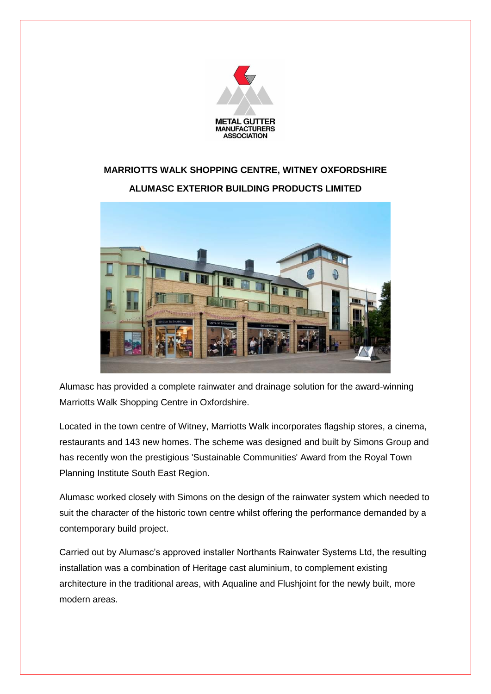

## **MARRIOTTS WALK SHOPPING CENTRE, WITNEY OXFORDSHIRE ALUMASC EXTERIOR BUILDING PRODUCTS LIMITED**



Alumasc has provided a complete rainwater and drainage solution for the award-winning Marriotts Walk Shopping Centre in Oxfordshire.

Located in the town centre of Witney, Marriotts Walk incorporates flagship stores, a cinema, restaurants and 143 new homes. The scheme was designed and built by Simons Group and has recently won the prestigious 'Sustainable Communities' Award from the Royal Town Planning Institute South East Region.

Alumasc worked closely with Simons on the design of the rainwater system which needed to suit the character of the historic town centre whilst offering the performance demanded by a contemporary build project.

Carried out by Alumasc's approved installer Northants Rainwater Systems Ltd, the resulting installation was a combination of Heritage cast aluminium, to complement existing architecture in the traditional areas, with Aqualine and Flushjoint for the newly built, more modern areas.